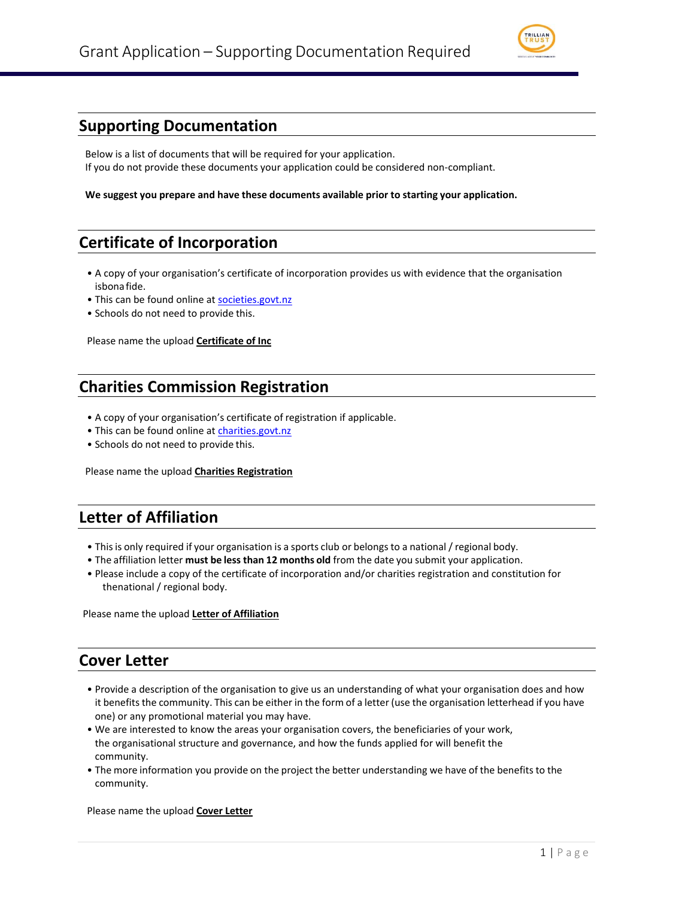

### **Supporting Documentation**

Below is a list of documents that will be required for your application. If you do not provide these documents your application could be considered non-compliant.

**We suggest you prepare and have these documents available prior to starting your application.**

# **Certificate of Incorporation**

- A copy of your organisation's certificate of incorporation provides us with evidence that the organisation isbona fide.
- This can be found online at [societies.govt.nz](http://www.societies.govt.nz/)
- Schools do not need to provide this.

Please name the upload **Certificate of Inc**

### **Charities Commission Registration**

- A copy of your organisation's certificate of registration if applicable.
- This can be found online at [charities.govt.nz](http://www.charities.govt.nz/)
- Schools do not need to provide this.

Please name the upload **Charities Registration**

## **Letter of Affiliation**

- Thisis only required if your organisation is a sports club or belongs to a national / regional body.
- The affiliation letter **must be less than 12 months old** from the date you submit your application.
- Please include a copy of the certificate of incorporation and/or charities registration and constitution for thenational / regional body.

Please name the upload **Letter of Affiliation**

#### **Cover Letter**

- Provide a description of the organisation to give us an understanding of what your organisation does and how it benefits the community. This can be either in the form of a letter (use the organisation letterhead if you have one) or any promotional material you may have.
- We are interested to know the areas your organisation covers, the beneficiaries of your work, the organisational structure and governance, and how the funds applied for will benefit the community.
- The more information you provide on the project the better understanding we have of the benefits to the community.

Please name the upload **Cover Letter**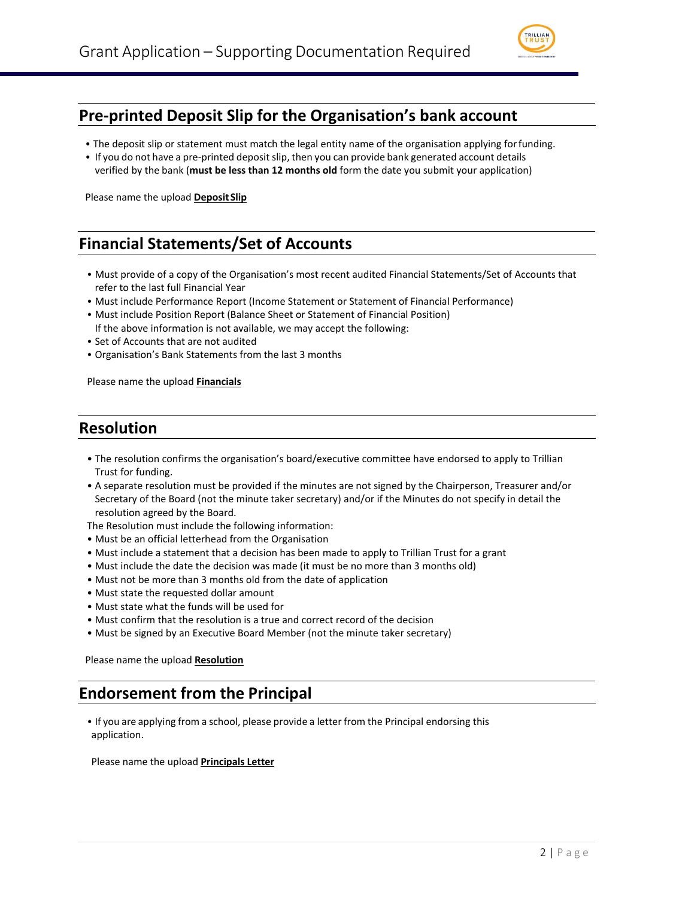

### **Pre-printed Deposit Slip for the Organisation's bank account**

- The deposit slip or statement must match the legal entity name of the organisation applying forfunding.
- If you do not have a pre-printed depositslip, then you can provide bank generated account details verified by the bank (**must be less than 12 months old** form the date you submit your application)

Please name the upload **DepositSlip**

## **Financial Statements/Set of Accounts**

- Must provide of a copy of the Organisation's most recent audited Financial Statements/Set of Accounts that refer to the last full Financial Year
- Must include Performance Report (Income Statement or Statement of Financial Performance)
- Must include Position Report (Balance Sheet or Statement of Financial Position) If the above information is not available, we may accept the following:
- Set of Accounts that are not audited
- Organisation's Bank Statements from the last 3 months

Please name the upload **Financials**

#### **Resolution**

- The resolution confirms the organisation's board/executive committee have endorsed to apply to Trillian Trust for funding.
- A separate resolution must be provided if the minutes are not signed by the Chairperson, Treasurer and/or Secretary of the Board (not the minute taker secretary) and/or if the Minutes do not specify in detail the resolution agreed by the Board.

The Resolution must include the following information:

- Must be an official letterhead from the Organisation
- Must include a statement that a decision has been made to apply to Trillian Trust for a grant
- Must include the date the decision was made (it must be no more than 3 months old)
- Must not be more than 3 months old from the date of application
- Must state the requested dollar amount
- Must state what the funds will be used for
- Must confirm that the resolution is a true and correct record of the decision
- Must be signed by an Executive Board Member (not the minute taker secretary)

Please name the upload **Resolution**

### **Endorsement from the Principal**

• If you are applying from a school, please provide a letter from the Principal endorsing this application.

Please name the upload **Principals Letter**